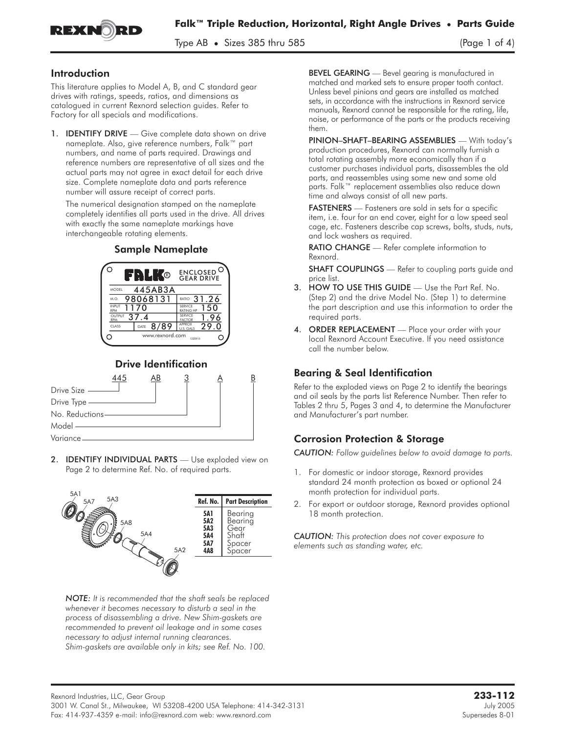

Type  $AB \bullet$  Sizes 385 thru 585 (Page 1 of 4)

### Introduction

This literature applies to Model A, B, and C standard gear drives with ratings, speeds, ratios, and dimensions as catalogued in current Rexnord selection guides. Refer to Factory for all specials and modifications.

1. **IDENTIFY DRIVE** — Give complete data shown on drive nameplate. Also, give reference numbers, Falk™ part numbers, and name of parts required. Drawings and reference numbers are representative of all sizes and the actual parts may not agree in exact detail for each drive size. Complete nameplate data and parts reference number will assure receipt of correct parts.

The numerical designation stamped on the nameplate completely identifies all parts used in the drive. All drives with exactly the same nameplate markings have interchangeable rotating elements.



# Drive Identification



2. **IDENTIFY INDIVIDUAL PARTS** - Use exploded view on Page 2 to determine Ref. No. of required parts.



*NOTE: It is recommended that the shaft seals be replaced whenever it becomes necessary to disturb a seal in the process of disassembling a drive. New Shim-gaskets are recommended to prevent oil leakage and in some cases necessary to adjust internal running clearances. Shim-gaskets are available only in kits; see Ref. No. 100.*

BEVEL GEARING - Bevel gearing is manufactured in matched and marked sets to ensure proper tooth contact. Unless bevel pinions and gears are installed as matched sets, in accordance with the instructions in Rexnord service manuals, Rexnord cannot be responsible for the rating, life, noise, or performance of the parts or the products receiving them.

PINION–SHAFT–BEARING ASSEMBLIES — With today's production procedures, Rexnord can normally furnish a total rotating assembly more economically than if a customer purchases individual parts, disassembles the old parts, and reassembles using some new and some old parts. Falk™ replacement assemblies also reduce down time and always consist of all new parts.

FASTENERS - Fasteners are sold in sets for a specific item, i.e. four for an end cover, eight for a low speed seal cage, etc. Fasteners describe cap screws, bolts, studs, nuts, and lock washers as required.

RATIO CHANGE - Refer complete information to Rexnord.

**SHAFT COUPLINGS** — Refer to coupling parts guide and price list.

- 3. HOW TO USE THIS GUIDE Use the Part Ref. No. (Step 2) and the drive Model No. (Step 1) to determine the part description and use this information to order the required parts.
- 4. ORDER REPLACEMENT Place your order with your local Rexnord Account Executive. If you need assistance call the number below.

## Bearing & Seal Identification

Refer to the exploded views on Page 2 to identify the bearings and oil seals by the parts list Reference Number. Then refer to Tables 2 thru 5, Pages 3 and 4, to determine the Manufacturer and Manufacturer's part number.

## Corrosion Protection & Storage

*CAUTION: Follow guidelines below to avoid damage to parts.*

- 1. For domestic or indoor storage, Rexnord provides standard 24 month protection as boxed or optional 24 month protection for individual parts.
- 2. For export or outdoor storage, Rexnord provides optional 18 month protection.

*CAUTION: This protection does not cover exposure to elements such as standing water, etc.*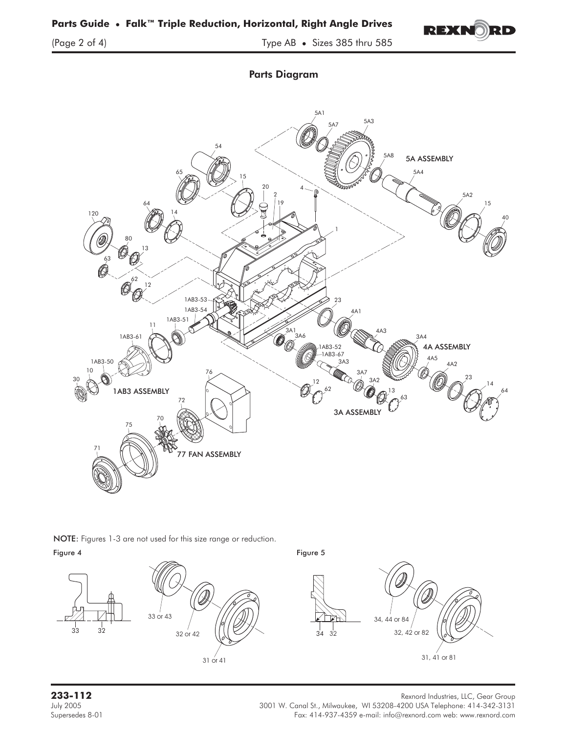

Parts Diagram



NOTE: Figures 1-3 are not used for this size range or reduction.<br>Figure 4







33 32

Rexnord Industries, LLC, Gear Group<br>July 2005 July 2005 July 2005 3001 W. Canal St., Milwaukee, WI 53208-4200 USA Telephone: 414-342-3131 Fax: 414-937-4359 e-mail: info@rexnord.com web: www.rexnord.com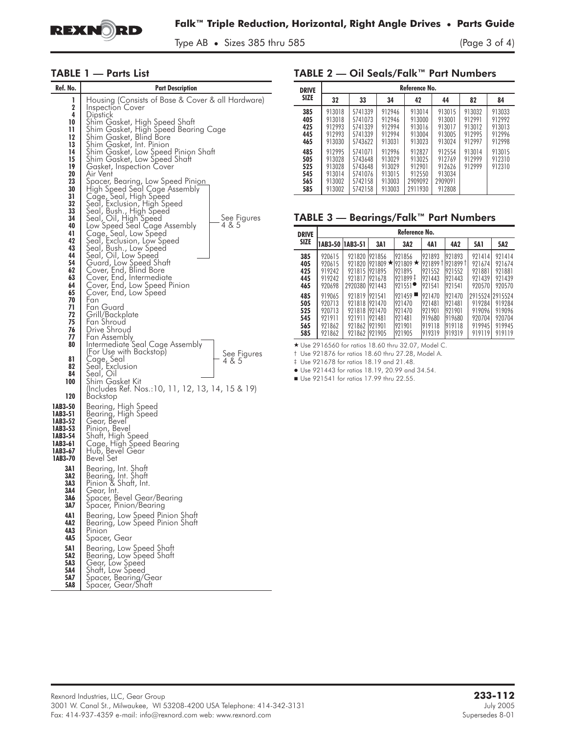

Type AB • Sizes 385 thru 585 (Page 3 of 4)

#### TABLE 1 — Parts List

| Ref. No.           | <b>Part Description</b>                                               |  |  |  |  |  |  |
|--------------------|-----------------------------------------------------------------------|--|--|--|--|--|--|
| 1                  | Housing (Consists of Base & Cover & all Hardware)                     |  |  |  |  |  |  |
| 2                  | Inspection Cover                                                      |  |  |  |  |  |  |
| 4                  | Dipstick                                                              |  |  |  |  |  |  |
| 10<br>11           | Shim Gasket, High Speed Shaft<br>Shim Gasket, High Speed Bearing Cage |  |  |  |  |  |  |
| 12                 | Shim Gasket, Blind Bore                                               |  |  |  |  |  |  |
| 13                 | Shim Gasket, Int. Pinion<br>Shim Gasket, Low Speed Pinion Shaft       |  |  |  |  |  |  |
| 14                 |                                                                       |  |  |  |  |  |  |
| 15                 | Shim Gasket, Low Speed Shaft                                          |  |  |  |  |  |  |
| 19<br>20           | Gasket, Inspection Cover<br>Air Vent                                  |  |  |  |  |  |  |
| 23                 | Spacer, Bearing, Low Speed Pini <u>on</u>                             |  |  |  |  |  |  |
| 30                 | High Speed Seal Cage Assembly                                         |  |  |  |  |  |  |
| 31                 | Cage, Seal, High Speed<br>Seal, Exclusion, High Speed                 |  |  |  |  |  |  |
| 32<br>33           |                                                                       |  |  |  |  |  |  |
| 34                 | Šeal, Bush., High Speed<br>Seal, Oil, High Speed<br>See Figures       |  |  |  |  |  |  |
| 40                 | Low Speed Seal Cage Assembly<br>4 & 5                                 |  |  |  |  |  |  |
| 41                 | Cage, Seal, Low Speed<br>Seal, Exclusion, Low Speed                   |  |  |  |  |  |  |
| 42                 |                                                                       |  |  |  |  |  |  |
| 43<br>44           | Seal, Bush., Low Speed<br>Seal, Oil, Low Speed                        |  |  |  |  |  |  |
| 54                 | Guard, Low Speed Shaft                                                |  |  |  |  |  |  |
| 62                 | Cover, End, Blind Bore                                                |  |  |  |  |  |  |
| 63                 | Cover, End, Intermediate<br>Cover, End, Low Speed Pinion              |  |  |  |  |  |  |
| 64<br>65           | Cover, End, Low Speed                                                 |  |  |  |  |  |  |
| 70                 | Fan                                                                   |  |  |  |  |  |  |
| 71                 | Fan Guard                                                             |  |  |  |  |  |  |
| 72                 | Grill/Backplate                                                       |  |  |  |  |  |  |
| 75<br>76           | Fan Shroud<br>Drive Shroud                                            |  |  |  |  |  |  |
| 77                 |                                                                       |  |  |  |  |  |  |
| 80                 | Fan Assembly<br>Intermediate Seal Cage Assembly                       |  |  |  |  |  |  |
|                    | (For Use with Backstop)<br>See Figures                                |  |  |  |  |  |  |
| 81<br>82           | Cage, Seal<br>Seal, Exclusion<br>Seal, Oil<br>4 & 5                   |  |  |  |  |  |  |
| 84                 |                                                                       |  |  |  |  |  |  |
| 100                | Shim Gasket Kit                                                       |  |  |  |  |  |  |
|                    | (Includes Ref. Nos.:10, 11, 12, 13, 14, 15 & 19)                      |  |  |  |  |  |  |
| 120                | Backstop                                                              |  |  |  |  |  |  |
| 1AB3-50            | Bearing, High Speed                                                   |  |  |  |  |  |  |
| 1AB3-51<br>1AB3-52 | Bearing, High Speed<br>Gear, Bevel                                    |  |  |  |  |  |  |
| 1AB3-53            | Pinion, Bevel                                                         |  |  |  |  |  |  |
| 1AB3-54            | Shaft, High Speed                                                     |  |  |  |  |  |  |
| 1AB3-61            | Cage, High Speed Bearing<br>Hub, Bevel Gear                           |  |  |  |  |  |  |
| 1AB3-67<br>1AB3-70 | <b>Bevel Set</b>                                                      |  |  |  |  |  |  |
|                    |                                                                       |  |  |  |  |  |  |
| 3A 1<br>3A2        | Bearing, Int. Shaft<br>Bearing, Int. Shaft                            |  |  |  |  |  |  |
| 3A3                | Pinion & Shaft, Int.                                                  |  |  |  |  |  |  |
| 3A4                | Gear, Int.                                                            |  |  |  |  |  |  |
| 3A6                | Spacer, Bevel Gear/Bearing                                            |  |  |  |  |  |  |
| 3A7                | Spacer, Pinion/Bearing                                                |  |  |  |  |  |  |
| 4A1<br>4A2         | Bearing, Low Speed Pinion Shaft<br>Bearing, Low Speed Pinion Shaft    |  |  |  |  |  |  |
| 4A3                | Pinion                                                                |  |  |  |  |  |  |
| 4A5                | Spacer, Gear                                                          |  |  |  |  |  |  |
| 5A1                |                                                                       |  |  |  |  |  |  |
| 5A2                | Bearing, Low Speed Shaft<br>Bearing, Low Speed Shaft                  |  |  |  |  |  |  |
| 5A3                | Gear, Low Speed<br>Shaft, Low Speed<br>Spacer, Bearing/Gear           |  |  |  |  |  |  |
| 5A4<br>5A7         |                                                                       |  |  |  |  |  |  |
| 5A8                | Spacer, Gear/Shaft                                                    |  |  |  |  |  |  |

#### TABLE 2 — Oil Seals/Falk™ Part Numbers

| <b>DRIVE</b><br><b>SIZE</b>            | Reference No.                                            |                                                                |                                                          |                                                            |                                                           |                                                |                                                |  |
|----------------------------------------|----------------------------------------------------------|----------------------------------------------------------------|----------------------------------------------------------|------------------------------------------------------------|-----------------------------------------------------------|------------------------------------------------|------------------------------------------------|--|
|                                        | 32                                                       | 33                                                             | 34                                                       | 42                                                         | 44                                                        | 82                                             | 84                                             |  |
| 385<br>405<br>425<br>445<br>465        | 913018<br>913018<br>912993<br>912993<br>913030           | 5741339<br>5741073<br>5741339<br>5741339<br>5743622            | 912946<br>912946<br>912994<br>912994<br>913031           | 913014<br>913000<br>913016<br>913004<br>913023             | 913015<br>913001<br>913017<br>913005<br>913024            | 913032<br>912991<br>913012<br>912995<br>912997 | 913033<br>912992<br>913013<br>912996<br>912998 |  |
| 485<br>505<br>525<br>545<br>565<br>585 | 912995<br>913028<br>913028<br>913014<br>913002<br>913002 | 5741071<br>5743648<br>5743648<br>5741076<br>5742158<br>5742158 | 912996<br>913029<br>913029<br>913015<br>913003<br>913003 | 912827<br>913025<br>912901<br>912550<br>2909092<br>2911930 | 912554<br>912769<br>912626<br>913034<br>2909091<br>912808 | 913014<br>912999<br>912999                     | 913015<br>912310<br>912310                     |  |

### TABLE 3 — Bearings/Falk™ Part Numbers

| <b>DRIVE</b>                           | Reference No.                                            |                                                          |                                                          |                                                          |                                                           |                                                          |                                                                   |                                                |
|----------------------------------------|----------------------------------------------------------|----------------------------------------------------------|----------------------------------------------------------|----------------------------------------------------------|-----------------------------------------------------------|----------------------------------------------------------|-------------------------------------------------------------------|------------------------------------------------|
| <b>SIZE</b>                            | 1AB3-50 1AB3-51                                          |                                                          | 3A 1                                                     | 3A2                                                      | 4A1                                                       | 4A2                                                      | 5A1                                                               | 5A2                                            |
| 385<br>405<br>425<br>445<br>465        | 920615<br>920615<br>919242<br>919242<br>920698           | 921820<br>921820<br>921815<br>921817<br>2920380          | 921856<br>921809 $\star$<br>921895<br>921678<br>921443   | 921856<br>921809 $\star$<br>921895<br>921899 ‡<br>921551 | 921893<br>921899 1<br>921552<br>921443<br>921541          | 921893<br>921899†<br>921552<br>921443<br>921541          | 921414<br>921674<br>921881<br>921439<br>920570                    | 971414<br>921674<br>921881<br>921439<br>920570 |
| 485<br>505<br>525<br>545<br>565<br>585 | 919065<br>920713<br>920713<br>921911<br>921862<br>921862 | 971819<br>921818<br>921818<br>921911<br>921862<br>921862 | 921541<br>921470<br>921470<br>921481<br>921901<br>921905 | 921459<br>921470<br>921470<br>921481<br>921901<br>921905 | 921470<br>921481<br>921901<br>919680<br>1919118<br>919319 | 921470<br>921481<br>921901<br>919680<br>919118<br>919319 | 2915524 2915524<br>919284<br>919096<br>920704<br>919945<br>919119 | 919284<br>919096<br>920704<br>919945<br>919119 |

- Use 2916560 for ratios 18.60 thru 32.07, Model C.

† Use 921876 for ratios 18.60 thru 27.28, Model A.

‡ Use 921678 for ratios 18.19 and 21.48.

- Use 921443 for ratios 18.19, 20.99 and 34.54.

Use 921541 for ratios 17.99 thru 22.55.